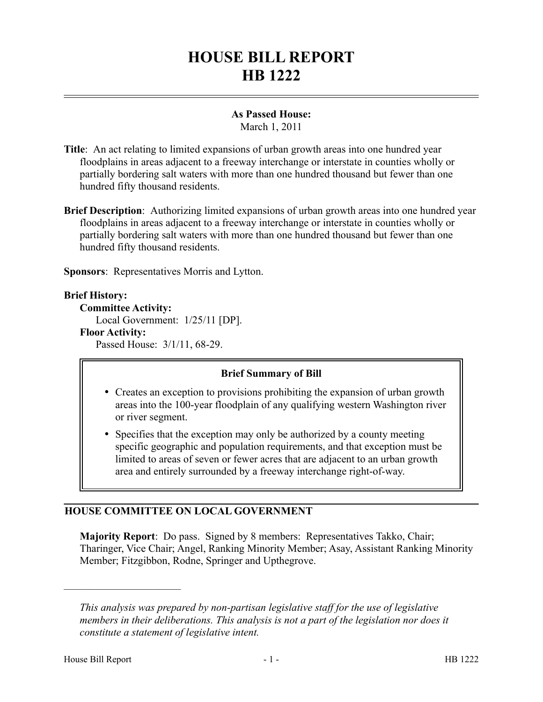# **HOUSE BILL REPORT HB 1222**

### **As Passed House:**

March 1, 2011

- **Title**: An act relating to limited expansions of urban growth areas into one hundred year floodplains in areas adjacent to a freeway interchange or interstate in counties wholly or partially bordering salt waters with more than one hundred thousand but fewer than one hundred fifty thousand residents.
- **Brief Description**: Authorizing limited expansions of urban growth areas into one hundred year floodplains in areas adjacent to a freeway interchange or interstate in counties wholly or partially bordering salt waters with more than one hundred thousand but fewer than one hundred fifty thousand residents.

**Sponsors**: Representatives Morris and Lytton.

#### **Brief History:**

**Committee Activity:** Local Government: 1/25/11 [DP]. **Floor Activity:** Passed House: 3/1/11, 68-29.

## **Brief Summary of Bill**

- Creates an exception to provisions prohibiting the expansion of urban growth areas into the 100-year floodplain of any qualifying western Washington river or river segment.
- Specifies that the exception may only be authorized by a county meeting specific geographic and population requirements, and that exception must be limited to areas of seven or fewer acres that are adjacent to an urban growth area and entirely surrounded by a freeway interchange right-of-way.

## **HOUSE COMMITTEE ON LOCAL GOVERNMENT**

**Majority Report**: Do pass. Signed by 8 members: Representatives Takko, Chair; Tharinger, Vice Chair; Angel, Ranking Minority Member; Asay, Assistant Ranking Minority Member; Fitzgibbon, Rodne, Springer and Upthegrove.

––––––––––––––––––––––

*This analysis was prepared by non-partisan legislative staff for the use of legislative members in their deliberations. This analysis is not a part of the legislation nor does it constitute a statement of legislative intent.*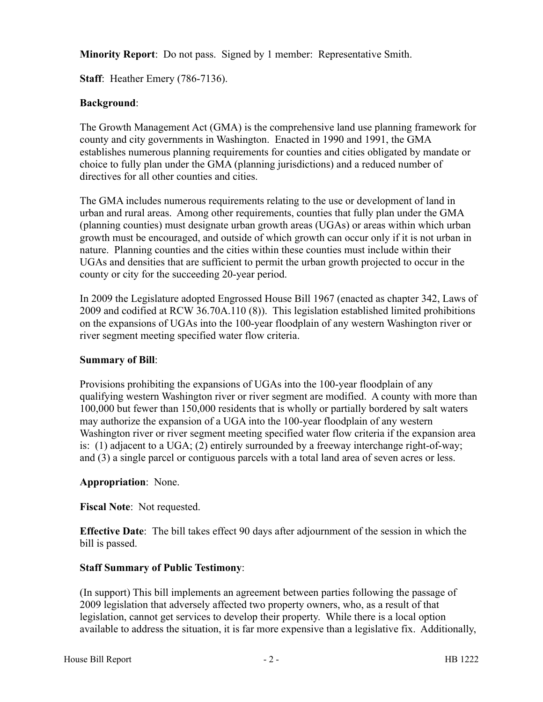**Minority Report**: Do not pass. Signed by 1 member: Representative Smith.

**Staff**: Heather Emery (786-7136).

### **Background**:

The Growth Management Act (GMA) is the comprehensive land use planning framework for county and city governments in Washington. Enacted in 1990 and 1991, the GMA establishes numerous planning requirements for counties and cities obligated by mandate or choice to fully plan under the GMA (planning jurisdictions) and a reduced number of directives for all other counties and cities.

The GMA includes numerous requirements relating to the use or development of land in urban and rural areas. Among other requirements, counties that fully plan under the GMA (planning counties) must designate urban growth areas (UGAs) or areas within which urban growth must be encouraged, and outside of which growth can occur only if it is not urban in nature. Planning counties and the cities within these counties must include within their UGAs and densities that are sufficient to permit the urban growth projected to occur in the county or city for the succeeding 20-year period.

In 2009 the Legislature adopted Engrossed House Bill 1967 (enacted as chapter 342, Laws of 2009 and codified at RCW 36.70A.110 (8)). This legislation established limited prohibitions on the expansions of UGAs into the 100-year floodplain of any western Washington river or river segment meeting specified water flow criteria.

#### **Summary of Bill**:

Provisions prohibiting the expansions of UGAs into the 100-year floodplain of any qualifying western Washington river or river segment are modified. A county with more than 100,000 but fewer than 150,000 residents that is wholly or partially bordered by salt waters may authorize the expansion of a UGA into the 100-year floodplain of any western Washington river or river segment meeting specified water flow criteria if the expansion area is: (1) adjacent to a UGA; (2) entirely surrounded by a freeway interchange right-of-way; and (3) a single parcel or contiguous parcels with a total land area of seven acres or less.

#### **Appropriation**: None.

**Fiscal Note**: Not requested.

**Effective Date**: The bill takes effect 90 days after adjournment of the session in which the bill is passed.

## **Staff Summary of Public Testimony**:

(In support) This bill implements an agreement between parties following the passage of 2009 legislation that adversely affected two property owners, who, as a result of that legislation, cannot get services to develop their property. While there is a local option available to address the situation, it is far more expensive than a legislative fix. Additionally,